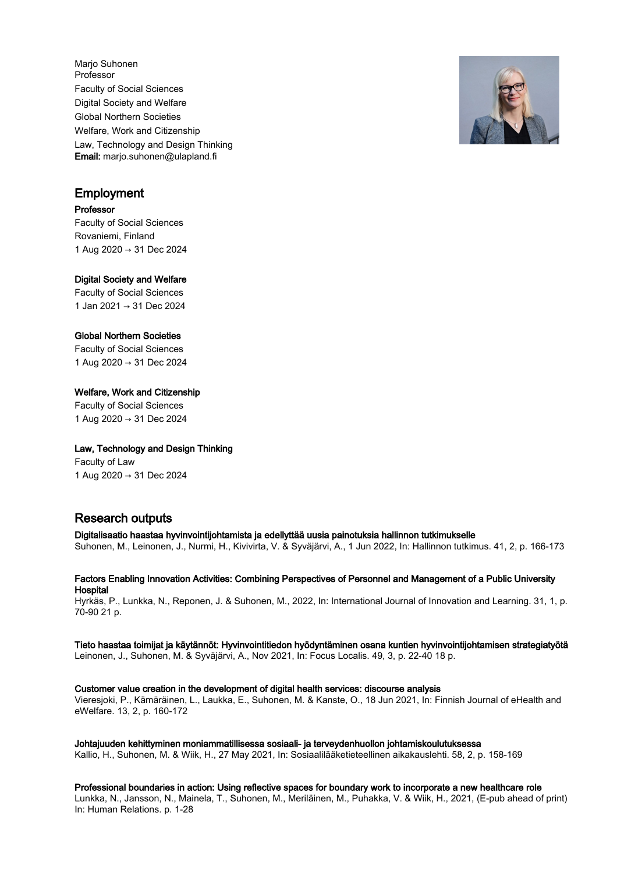Marjo Suhonen Professor Faculty of Social Sciences Digital Society and Welfare Global Northern Societies Welfare, Work and Citizenship Law, Technology and Design Thinking Email: marjo.suhonen@ulapland.fi

# Employment

## Professor

Faculty of Social Sciences Rovaniemi, Finland 1 Aug 2020 → 31 Dec 2024

## Digital Society and Welfare

Faculty of Social Sciences 1 Jan 2021 → 31 Dec 2024

## Global Northern Societies

Faculty of Social Sciences 1 Aug 2020 → 31 Dec 2024

## Welfare, Work and Citizenship

Faculty of Social Sciences 1 Aug 2020 → 31 Dec 2024

## Law, Technology and Design Thinking

Faculty of Law 1 Aug 2020 → 31 Dec 2024

# Research outputs

Digitalisaatio haastaa hyvinvointijohtamista ja edellyttää uusia painotuksia hallinnon tutkimukselle Suhonen, M., Leinonen, J., Nurmi, H., Kivivirta, V. & Syväjärvi, A., 1 Jun 2022, In: Hallinnon tutkimus. 41, 2, p. 166-173

Factors Enabling Innovation Activities: Combining Perspectives of Personnel and Management of a Public University **Hospital** 

Hyrkäs, P., Lunkka, N., Reponen, J. & Suhonen, M., 2022, In: International Journal of Innovation and Learning. 31, 1, p. 70-90 21 p.

## Tieto haastaa toimijat ja käytännöt: Hyvinvointitiedon hyödyntäminen osana kuntien hyvinvointijohtamisen strategiatyötä

Leinonen, J., Suhonen, M. & Syväjärvi, A., Nov 2021, In: Focus Localis. 49, 3, p. 22-40 18 p.

Customer value creation in the development of digital health services: discourse analysis Vieresjoki, P., Kämäräinen, L., Laukka, E., Suhonen, M. & Kanste, O., 18 Jun 2021, In: Finnish Journal of eHealth and

eWelfare. 13, 2, p. 160-172

Johtajuuden kehittyminen moniammatillisessa sosiaali- ja terveydenhuollon johtamiskoulutuksessa Kallio, H., Suhonen, M. & Wiik, H., 27 May 2021, In: Sosiaalilääketieteellinen aikakauslehti. 58, 2, p. 158-169

Professional boundaries in action: Using reflective spaces for boundary work to incorporate a new healthcare role Lunkka, N., Jansson, N., Mainela, T., Suhonen, M., Meriläinen, M., Puhakka, V. & Wiik, H., 2021, (E-pub ahead of print) In: Human Relations. p. 1-28

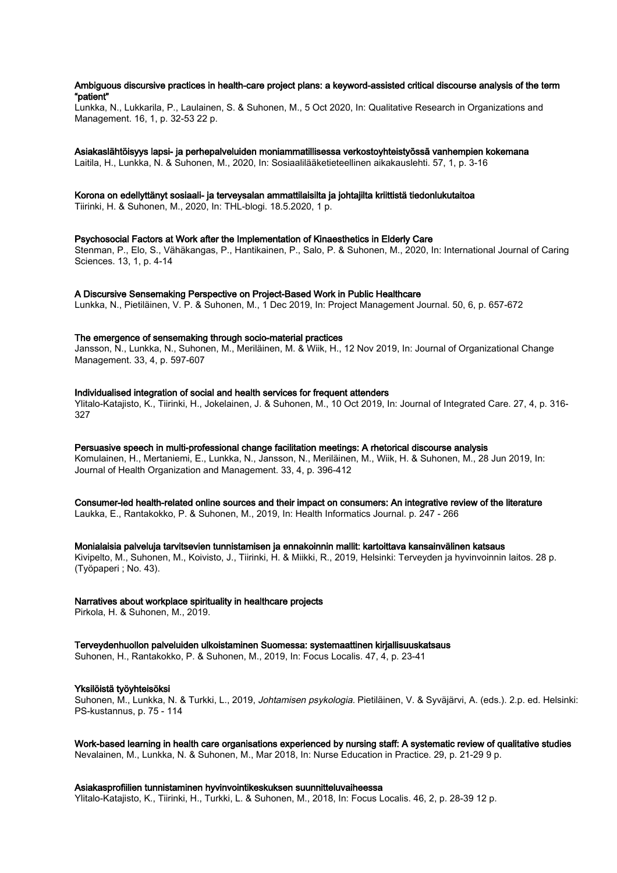## Ambiguous discursive practices in health-care project plans: a keyword-assisted critical discourse analysis of the term "patient"

Lunkka, N., Lukkarila, P., Laulainen, S. & Suhonen, M., 5 Oct 2020, In: Qualitative Research in Organizations and Management. 16, 1, p. 32-53 22 p.

## Asiakaslähtöisyys lapsi- ja perhepalveluiden moniammatillisessa verkostoyhteistyössä vanhempien kokemana

Laitila, H., Lunkka, N. & Suhonen, M., 2020, In: Sosiaalilääketieteellinen aikakauslehti. 57, 1, p. 3-16

#### Korona on edellyttänyt sosiaali- ja terveysalan ammattilaisilta ja johtajilta kriittistä tiedonlukutaitoa

Tiirinki, H. & Suhonen, M., 2020, In: THL-blogi. 18.5.2020, 1 p.

## Psychosocial Factors at Work after the Implementation of Kinaesthetics in Elderly Care

Stenman, P., Elo, S., Vähäkangas, P., Hantikainen, P., Salo, P. & Suhonen, M., 2020, In: International Journal of Caring Sciences. 13, 1, p. 4-14

#### A Discursive Sensemaking Perspective on Project-Based Work in Public Healthcare

Lunkka, N., Pietiläinen, V. P. & Suhonen, M., 1 Dec 2019, In: Project Management Journal. 50, 6, p. 657-672

#### The emergence of sensemaking through socio-material practices

Jansson, N., Lunkka, N., Suhonen, M., Meriläinen, M. & Wiik, H., 12 Nov 2019, In: Journal of Organizational Change Management. 33, 4, p. 597-607

#### Individualised integration of social and health services for frequent attenders

Ylitalo-Katajisto, K., Tiirinki, H., Jokelainen, J. & Suhonen, M., 10 Oct 2019, In: Journal of Integrated Care. 27, 4, p. 316- 327

## Persuasive speech in multi-professional change facilitation meetings: A rhetorical discourse analysis Komulainen, H., Mertaniemi, E., Lunkka, N., Jansson, N., Meriläinen, M., Wiik, H. & Suhonen, M., 28 Jun 2019, In: Journal of Health Organization and Management. 33, 4, p. 396-412

Consumer-led health-related online sources and their impact on consumers: An integrative review of the literature Laukka, E., Rantakokko, P. & Suhonen, M., 2019, In: Health Informatics Journal. p. 247 - 266

Monialaisia palveluja tarvitsevien tunnistamisen ja ennakoinnin mallit: kartoittava kansainvälinen katsaus Kivipelto, M., Suhonen, M., Koivisto, J., Tiirinki, H. & Miikki, R., 2019, Helsinki: Terveyden ja hyvinvoinnin laitos. 28 p. (Työpaperi ; No. 43).

## Narratives about workplace spirituality in healthcare projects

Pirkola, H. & Suhonen, M., 2019.

Terveydenhuollon palveluiden ulkoistaminen Suomessa: systemaattinen kirjallisuuskatsaus Suhonen, H., Rantakokko, P. & Suhonen, M., 2019, In: Focus Localis. 47, 4, p. 23-41

## Yksilöistä työyhteisöksi

Suhonen, M., Lunkka, N. & Turkki, L., 2019, Johtamisen psykologia. Pietiläinen, V. & Syväjärvi, A. (eds.). 2.p. ed. Helsinki: PS-kustannus, p. 75 - 114

Work-based learning in health care organisations experienced by nursing staff: A systematic review of qualitative studies Nevalainen, M., Lunkka, N. & Suhonen, M., Mar 2018, In: Nurse Education in Practice. 29, p. 21-29 9 p.

#### Asiakasprofiilien tunnistaminen hyvinvointikeskuksen suunnitteluvaiheessa

Ylitalo-Katajisto, K., Tiirinki, H., Turkki, L. & Suhonen, M., 2018, In: Focus Localis. 46, 2, p. 28-39 12 p.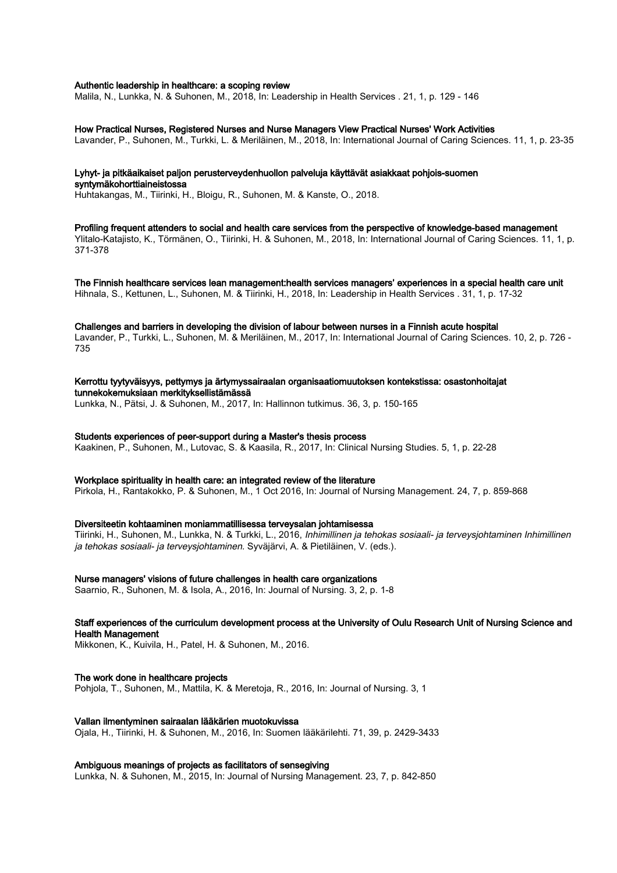#### Authentic leadership in healthcare: a scoping review

Malila, N., Lunkka, N. & Suhonen, M., 2018, In: Leadership in Health Services . 21, 1, p. 129 - 146

## How Practical Nurses, Registered Nurses and Nurse Managers View Practical Nurses' Work Activities

Lavander, P., Suhonen, M., Turkki, L. & Meriläinen, M., 2018, In: International Journal of Caring Sciences. 11, 1, p. 23-35

#### Lyhyt- ja pitkäaikaiset paljon perusterveydenhuollon palveluja käyttävät asiakkaat pohjois-suomen syntymäkohorttiaineistossa

Huhtakangas, M., Tiirinki, H., Bloigu, R., Suhonen, M. & Kanste, O., 2018.

Profiling frequent attenders to social and health care services from the perspective of knowledge-based management Ylitalo-Katajisto, K., Törmänen, O., Tiirinki, H. & Suhonen, M., 2018, In: International Journal of Caring Sciences. 11, 1, p. 371-378

The Finnish healthcare services lean management:health services managers' experiences in a special health care unit Hihnala, S., Kettunen, L., Suhonen, M. & Tiirinki, H., 2018, In: Leadership in Health Services . 31, 1, p. 17-32

#### Challenges and barriers in developing the division of labour between nurses in a Finnish acute hospital

Lavander, P., Turkki, L., Suhonen, M. & Meriläinen, M., 2017, In: International Journal of Caring Sciences. 10, 2, p. 726 - 735

Kerrottu tyytyväisyys, pettymys ja ärtymyssairaalan organisaatiomuutoksen kontekstissa: osastonhoitajat tunnekokemuksiaan merkityksellistämässä

Lunkka, N., Pätsi, J. & Suhonen, M., 2017, In: Hallinnon tutkimus. 36, 3, p. 150-165

#### Students experiences of peer-support during a Master's thesis process

Kaakinen, P., Suhonen, M., Lutovac, S. & Kaasila, R., 2017, In: Clinical Nursing Studies. 5, 1, p. 22-28

#### Workplace spirituality in health care: an integrated review of the literature

Pirkola, H., Rantakokko, P. & Suhonen, M., 1 Oct 2016, In: Journal of Nursing Management. 24, 7, p. 859-868

## Diversiteetin kohtaaminen moniammatillisessa terveysalan johtamisessa Tiirinki, H., Suhonen, M., Lunkka, N. & Turkki, L., 2016, Inhimillinen ja tehokas sosiaali- ja terveysjohtaminen Inhimillinen

ja tehokas sosiaali- ja terveysjohtaminen. Syväjärvi, A. & Pietiläinen, V. (eds.).

#### Nurse managers' visions of future challenges in health care organizations

Saarnio, R., Suhonen, M. & Isola, A., 2016, In: Journal of Nursing. 3, 2, p. 1-8

## Staff experiences of the curriculum development process at the University of Oulu Research Unit of Nursing Science and Health Management

Mikkonen, K., Kuivila, H., Patel, H. & Suhonen, M., 2016.

#### The work done in healthcare projects

Pohjola, T., Suhonen, M., Mattila, K. & Meretoja, R., 2016, In: Journal of Nursing. 3, 1

## Vallan ilmentyminen sairaalan lääkärien muotokuvissa

Ojala, H., Tiirinki, H. & Suhonen, M., 2016, In: Suomen lääkärilehti. 71, 39, p. 2429-3433

#### Ambiguous meanings of projects as facilitators of sensegiving

Lunkka, N. & Suhonen, M., 2015, In: Journal of Nursing Management. 23, 7, p. 842-850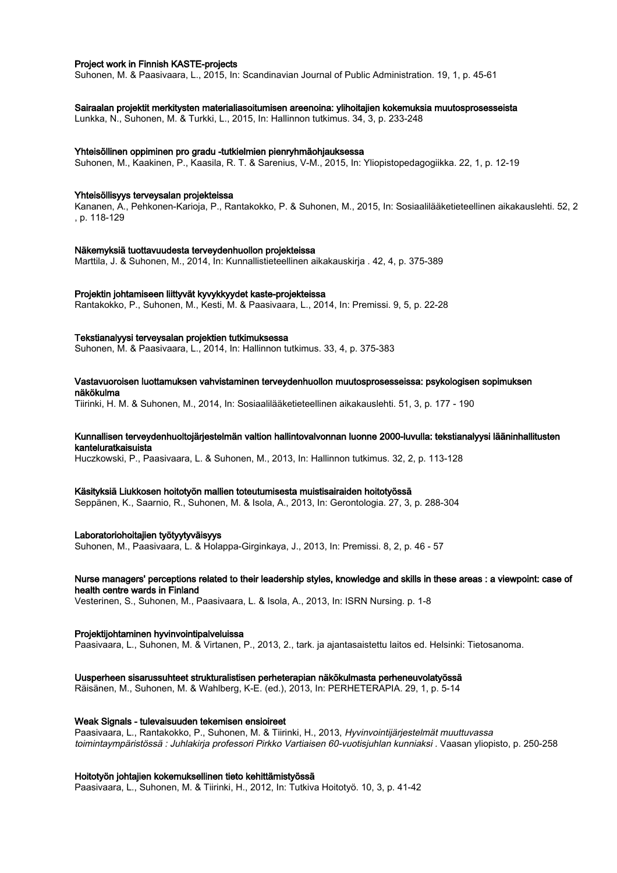## Project work in Finnish KASTE-projects

Suhonen, M. & Paasivaara, L., 2015, In: Scandinavian Journal of Public Administration. 19, 1, p. 45-61

#### Sairaalan projektit merkitysten materialiasoitumisen areenoina: ylihoitajien kokemuksia muutosprosesseista

Lunkka, N., Suhonen, M. & Turkki, L., 2015, In: Hallinnon tutkimus. 34, 3, p. 233-248

## Yhteisöllinen oppiminen pro gradu -tutkielmien pienryhmäohjauksessa

Suhonen, M., Kaakinen, P., Kaasila, R. T. & Sarenius, V-M., 2015, In: Yliopistopedagogiikka. 22, 1, p. 12-19

## Yhteisöllisyys terveysalan projekteissa

Kananen, A., Pehkonen-Karioja, P., Rantakokko, P. & Suhonen, M., 2015, In: Sosiaalilääketieteellinen aikakauslehti. 52, 2 , p. 118-129

#### Näkemyksiä tuottavuudesta terveydenhuollon projekteissa

Marttila, J. & Suhonen, M., 2014, In: Kunnallistieteellinen aikakauskirja . 42, 4, p. 375-389

## Projektin johtamiseen liittyvät kyvykkyydet kaste-projekteissa

Rantakokko, P., Suhonen, M., Kesti, M. & Paasivaara, L., 2014, In: Premissi. 9, 5, p. 22-28

## Tekstianalyysi terveysalan projektien tutkimuksessa

Suhonen, M. & Paasivaara, L., 2014, In: Hallinnon tutkimus. 33, 4, p. 375-383

#### Vastavuoroisen luottamuksen vahvistaminen terveydenhuollon muutosprosesseissa: psykologisen sopimuksen näkökulma

Tiirinki, H. M. & Suhonen, M., 2014, In: Sosiaalilääketieteellinen aikakauslehti. 51, 3, p. 177 - 190

#### Kunnallisen terveydenhuoltojärjestelmän valtion hallintovalvonnan luonne 2000-luvulla: tekstianalyysi lääninhallitusten kanteluratkaisuista

Huczkowski, P., Paasivaara, L. & Suhonen, M., 2013, In: Hallinnon tutkimus. 32, 2, p. 113-128

#### Käsityksiä Liukkosen hoitotyön mallien toteutumisesta muistisairaiden hoitotyössä

Seppänen, K., Saarnio, R., Suhonen, M. & Isola, A., 2013, In: Gerontologia. 27, 3, p. 288-304

#### Laboratoriohoitajien työtyytyväisyys

Suhonen, M., Paasivaara, L. & Holappa-Girginkaya, J., 2013, In: Premissi. 8, 2, p. 46 - 57

## Nurse managers' perceptions related to their leadership styles, knowledge and skills in these areas : a viewpoint: case of health centre wards in Finland

Vesterinen, S., Suhonen, M., Paasivaara, L. & Isola, A., 2013, In: ISRN Nursing. p. 1-8

#### Projektijohtaminen hyvinvointipalveluissa

Paasivaara, L., Suhonen, M. & Virtanen, P., 2013, 2., tark. ja ajantasaistettu laitos ed. Helsinki: Tietosanoma.

#### Uusperheen sisarussuhteet strukturalistisen perheterapian näkökulmasta perheneuvolatyössä

Räisänen, M., Suhonen, M. & Wahlberg, K-E. (ed.), 2013, In: PERHETERAPIA. 29, 1, p. 5-14

#### Weak Signals - tulevaisuuden tekemisen ensioireet

Paasivaara, L., Rantakokko, P., Suhonen, M. & Tiirinki, H., 2013, Hyvinvointijärjestelmät muuttuvassa toimintaympäristössä : Juhlakirja professori Pirkko Vartiaisen 60-vuotisjuhlan kunniaksi . Vaasan yliopisto, p. 250-258

## Hoitotyön johtajien kokemuksellinen tieto kehittämistyössä

Paasivaara, L., Suhonen, M. & Tiirinki, H., 2012, In: Tutkiva Hoitotyö. 10, 3, p. 41-42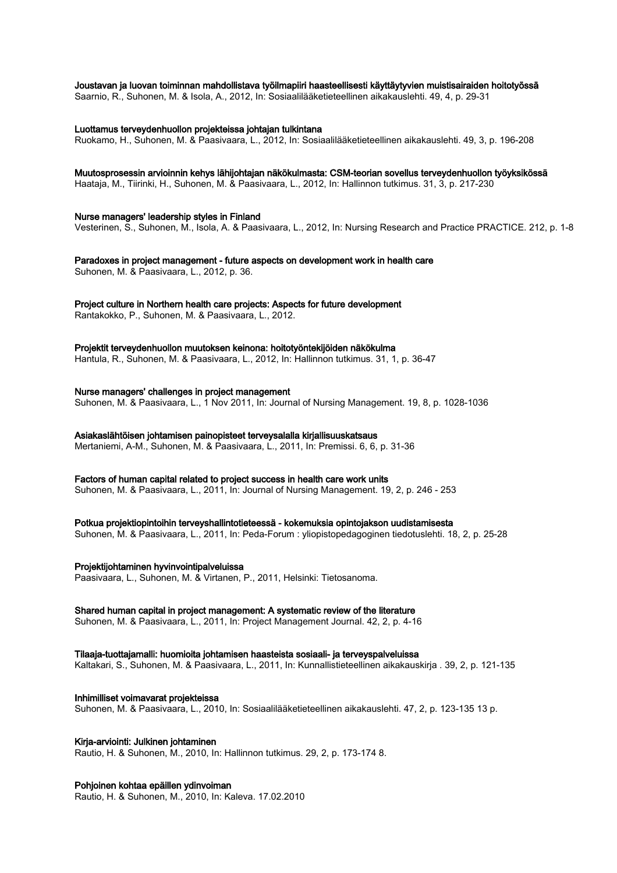## Joustavan ja luovan toiminnan mahdollistava työilmapiiri haasteellisesti käyttäytyvien muistisairaiden hoitotyössä

Saarnio, R., Suhonen, M. & Isola, A., 2012, In: Sosiaalilääketieteellinen aikakauslehti. 49, 4, p. 29-31

Luottamus terveydenhuollon projekteissa johtajan tulkintana

Ruokamo, H., Suhonen, M. & Paasivaara, L., 2012, In: Sosiaalilääketieteellinen aikakauslehti. 49, 3, p. 196-208

## Muutosprosessin arvioinnin kehys lähijohtajan näkökulmasta: CSM-teorian sovellus terveydenhuollon työyksikössä

Haataja, M., Tiirinki, H., Suhonen, M. & Paasivaara, L., 2012, In: Hallinnon tutkimus. 31, 3, p. 217-230

Nurse managers' leadership styles in Finland Vesterinen, S., Suhonen, M., Isola, A. & Paasivaara, L., 2012, In: Nursing Research and Practice PRACTICE. 212, p. 1-8

Paradoxes in project management - future aspects on development work in health care Suhonen, M. & Paasivaara, L., 2012, p. 36.

Project culture in Northern health care projects: Aspects for future development

Rantakokko, P., Suhonen, M. & Paasivaara, L., 2012.

Projektit terveydenhuollon muutoksen keinona: hoitotyöntekijöiden näkökulma

Hantula, R., Suhonen, M. & Paasivaara, L., 2012, In: Hallinnon tutkimus. 31, 1, p. 36-47

Nurse managers' challenges in project management

Suhonen, M. & Paasivaara, L., 1 Nov 2011, In: Journal of Nursing Management. 19, 8, p. 1028-1036

Asiakaslähtöisen johtamisen painopisteet terveysalalla kirjallisuuskatsaus

Mertaniemi, A-M., Suhonen, M. & Paasivaara, L., 2011, In: Premissi. 6, 6, p. 31-36

Factors of human capital related to project success in health care work units

Suhonen, M. & Paasivaara, L., 2011, In: Journal of Nursing Management. 19, 2, p. 246 - 253

## Potkua projektiopintoihin terveyshallintotieteessä - kokemuksia opintojakson uudistamisesta

Suhonen, M. & Paasivaara, L., 2011, In: Peda-Forum : yliopistopedagoginen tiedotuslehti. 18, 2, p. 25-28

Projektijohtaminen hyvinvointipalveluissa

Paasivaara, L., Suhonen, M. & Virtanen, P., 2011, Helsinki: Tietosanoma.

## Shared human capital in project management: A systematic review of the literature

Suhonen, M. & Paasivaara, L., 2011, In: Project Management Journal. 42, 2, p. 4-16

## Tilaaja-tuottajamalli: huomioita johtamisen haasteista sosiaali- ja terveyspalveluissa

Kaltakari, S., Suhonen, M. & Paasivaara, L., 2011, In: Kunnallistieteellinen aikakauskirja . 39, 2, p. 121-135

Inhimilliset voimavarat projekteissa

Suhonen, M. & Paasivaara, L., 2010, In: Sosiaalilääketieteellinen aikakauslehti. 47, 2, p. 123-135 13 p.

## Kirja-arviointi: Julkinen johtaminen

Rautio, H. & Suhonen, M., 2010, In: Hallinnon tutkimus. 29, 2, p. 173-174 8.

## Pohjoinen kohtaa epäillen ydinvoiman

Rautio, H. & Suhonen, M., 2010, In: Kaleva. 17.02.2010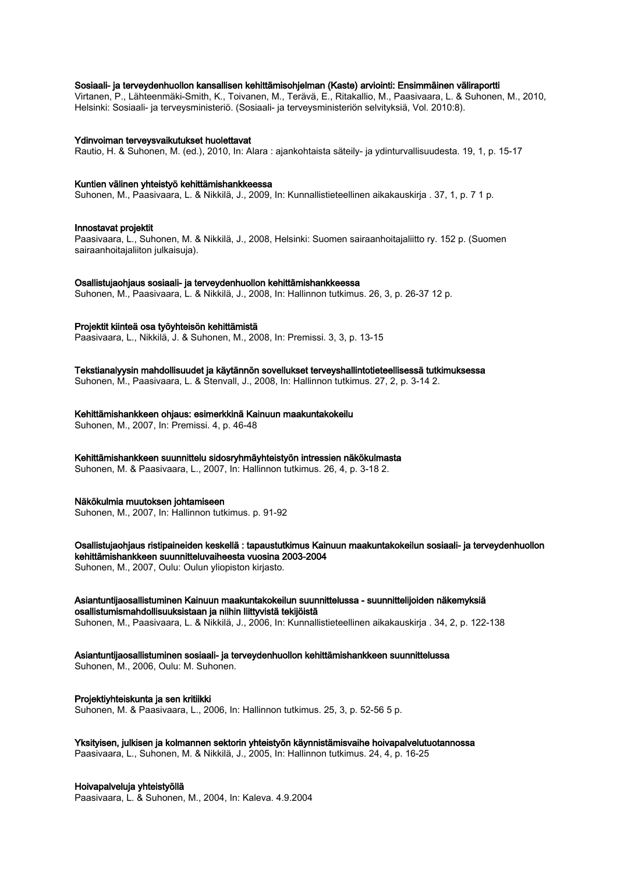## Sosiaali- ja terveydenhuollon kansallisen kehittämisohjelman (Kaste) arviointi: Ensimmäinen väliraportti

Virtanen, P., Lähteenmäki-Smith, K., Toivanen, M., Terävä, E., Ritakallio, M., Paasivaara, L. & Suhonen, M., 2010, Helsinki: Sosiaali- ja terveysministeriö. (Sosiaali- ja terveysministeriön selvityksiä, Vol. 2010:8).

#### Ydinvoiman terveysvaikutukset huolettavat

Rautio, H. & Suhonen, M. (ed.), 2010, In: Alara : ajankohtaista säteily- ja ydinturvallisuudesta. 19, 1, p. 15-17

#### Kuntien välinen yhteistyö kehittämishankkeessa

Suhonen, M., Paasivaara, L. & Nikkilä, J., 2009, In: Kunnallistieteellinen aikakauskirja . 37, 1, p. 7 1 p.

#### Innostavat projektit

Paasivaara, L., Suhonen, M. & Nikkilä, J., 2008, Helsinki: Suomen sairaanhoitajaliitto ry. 152 p. (Suomen sairaanhoitajaliiton julkaisuja).

#### Osallistujaohjaus sosiaali- ja terveydenhuollon kehittämishankkeessa

Suhonen, M., Paasivaara, L. & Nikkilä, J., 2008, In: Hallinnon tutkimus. 26, 3, p. 26-37 12 p.

#### Projektit kiinteä osa työyhteisön kehittämistä

Paasivaara, L., Nikkilä, J. & Suhonen, M., 2008, In: Premissi. 3, 3, p. 13-15

#### Tekstianalyysin mahdollisuudet ja käytännön sovellukset terveyshallintotieteellisessä tutkimuksessa

Suhonen, M., Paasivaara, L. & Stenvall, J., 2008, In: Hallinnon tutkimus. 27, 2, p. 3-14 2.

#### Kehittämishankkeen ohjaus: esimerkkinä Kainuun maakuntakokeilu

Suhonen, M., 2007, In: Premissi. 4, p. 46-48

#### Kehittämishankkeen suunnittelu sidosryhmäyhteistyön intressien näkökulmasta

Suhonen, M. & Paasivaara, L., 2007, In: Hallinnon tutkimus. 26, 4, p. 3-18 2.

## Näkökulmia muutoksen johtamiseen

Suhonen, M., 2007, In: Hallinnon tutkimus. p. 91-92

#### Osallistujaohjaus ristipaineiden keskellä : tapaustutkimus Kainuun maakuntakokeilun sosiaali- ja terveydenhuollon kehittämishankkeen suunnitteluvaiheesta vuosina 2003-2004 Suhonen, M., 2007, Oulu: Oulun yliopiston kirjasto.

## Asiantuntijaosallistuminen Kainuun maakuntakokeilun suunnittelussa - suunnittelijoiden näkemyksiä osallistumismahdollisuuksistaan ja niihin liittyvistä tekijöistä

Suhonen, M., Paasivaara, L. & Nikkilä, J., 2006, In: Kunnallistieteellinen aikakauskirja . 34, 2, p. 122-138

## Asiantuntijaosallistuminen sosiaali- ja terveydenhuollon kehittämishankkeen suunnittelussa

Suhonen, M., 2006, Oulu: M. Suhonen.

#### Projektiyhteiskunta ja sen kritiikki

Suhonen, M. & Paasivaara, L., 2006, In: Hallinnon tutkimus. 25, 3, p. 52-56 5 p.

## Yksityisen, julkisen ja kolmannen sektorin yhteistyön käynnistämisvaihe hoivapalvelutuotannossa

Paasivaara, L., Suhonen, M. & Nikkilä, J., 2005, In: Hallinnon tutkimus. 24, 4, p. 16-25

## Hoivapalveluja yhteistyöllä

Paasivaara, L. & Suhonen, M., 2004, In: Kaleva. 4.9.2004